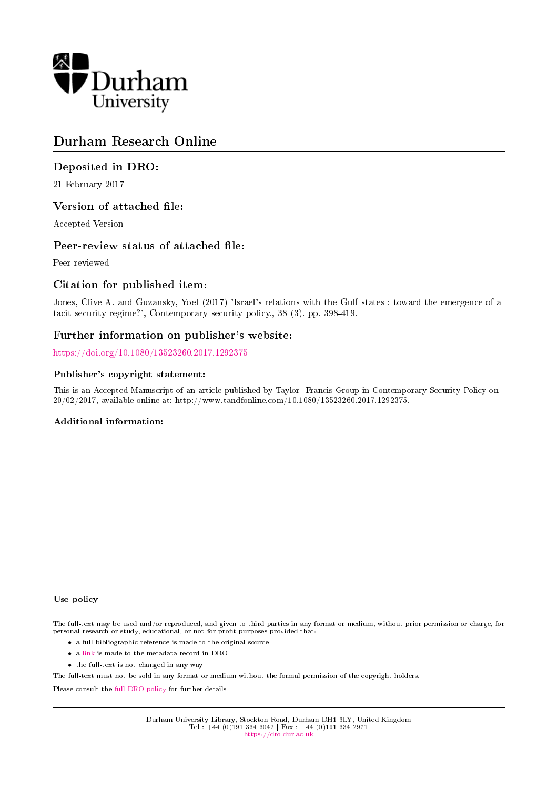

# Durham Research Online

# Deposited in DRO:

21 February 2017

## Version of attached file:

Accepted Version

#### Peer-review status of attached file:

Peer-reviewed

## Citation for published item:

Jones, Clive A. and Guzansky, Yoel (2017) 'Israel's relations with the Gulf states : toward the emergence of a tacit security regime?', Contemporary security policy., 38 (3). pp. 398-419.

## Further information on publisher's website:

<https://doi.org/10.1080/13523260.2017.1292375>

#### Publisher's copyright statement:

This is an Accepted Manuscript of an article published by Taylor Francis Group in Contemporary Security Policy on 20/02/2017, available online at: http://www.tandfonline.com/10.1080/13523260.2017.1292375.

#### Additional information:

Use policy

The full-text may be used and/or reproduced, and given to third parties in any format or medium, without prior permission or charge, for personal research or study, educational, or not-for-profit purposes provided that:

- a full bibliographic reference is made to the original source
- a [link](http://dro.dur.ac.uk/21011/) is made to the metadata record in DRO
- the full-text is not changed in any way

The full-text must not be sold in any format or medium without the formal permission of the copyright holders.

Please consult the [full DRO policy](https://dro.dur.ac.uk/policies/usepolicy.pdf) for further details.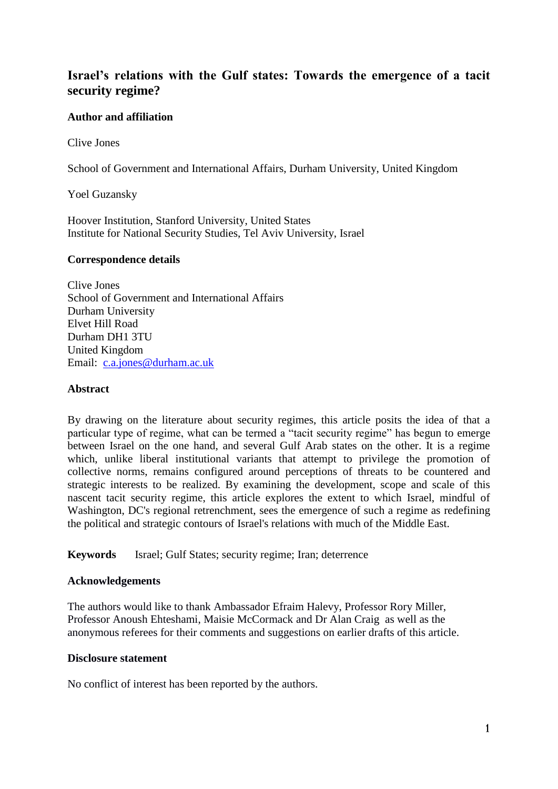# **Israel's relations with the Gulf states: Towards the emergence of a tacit security regime?**

# **Author and affiliation**

Clive Jones

School of Government and International Affairs, Durham University, United Kingdom

Yoel Guzansky

Hoover Institution, Stanford University, United States Institute for National Security Studies, Tel Aviv University, Israel

## **Correspondence details**

Clive Jones School of Government and International Affairs Durham University Elvet Hill Road Durham DH1 3TU United Kingdom Email: [c.a.jones@durham.ac.uk](mailto:c.a.jones@durham.ac.uk)

## **Abstract**

By drawing on the literature about security regimes, this article posits the idea of that a particular type of regime, what can be termed a "tacit security regime" has begun to emerge between Israel on the one hand, and several Gulf Arab states on the other. It is a regime which, unlike liberal institutional variants that attempt to privilege the promotion of collective norms, remains configured around perceptions of threats to be countered and strategic interests to be realized. By examining the development, scope and scale of this nascent tacit security regime, this article explores the extent to which Israel, mindful of Washington, DC's regional retrenchment, sees the emergence of such a regime as redefining the political and strategic contours of Israel's relations with much of the Middle East.

**Keywords** Israel; Gulf States; security regime; Iran; deterrence

## **Acknowledgements**

The authors would like to thank Ambassador Efraim Halevy, Professor Rory Miller, Professor Anoush Ehteshami, Maisie McCormack and Dr Alan Craig as well as the anonymous referees for their comments and suggestions on earlier drafts of this article.

## **Disclosure statement**

No conflict of interest has been reported by the authors.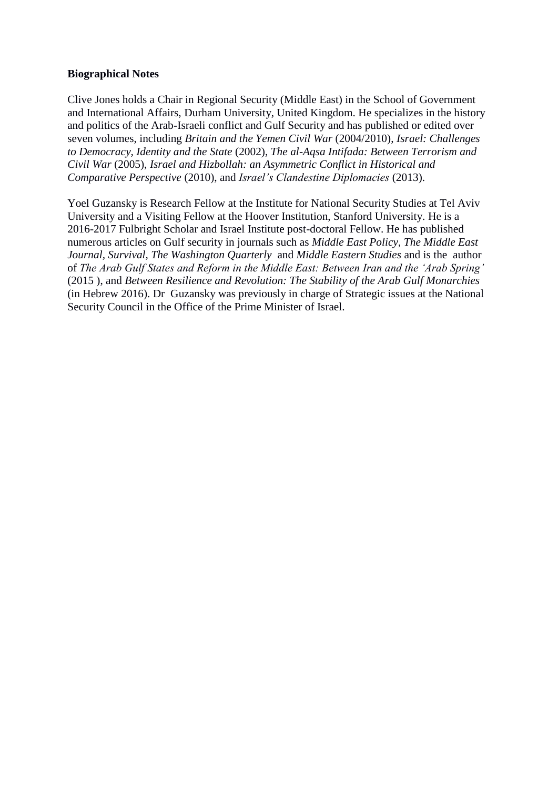# **Biographical Notes**

Clive Jones holds a Chair in Regional Security (Middle East) in the School of Government and International Affairs, Durham University, United Kingdom. He specializes in the history and politics of the Arab-Israeli conflict and Gulf Security and has published or edited over seven volumes, including *Britain and the Yemen Civil War* (2004/2010), *Israel: Challenges to Democracy, Identity and the State* (2002), *The al-Aqsa Intifada: Between Terrorism and Civil War* (2005), *Israel and Hizbollah: an Asymmetric Conflict in Historical and Comparative Perspective* (2010), and *Israel's Clandestine Diplomacies* (2013).

Yoel Guzansky is Research Fellow at the Institute for National Security Studies at Tel Aviv University and a Visiting Fellow at the Hoover Institution, Stanford University. He is a 2016-2017 Fulbright Scholar and Israel Institute post-doctoral Fellow. He has published numerous articles on Gulf security in journals such as *Middle East Policy*, *The Middle East Journal, Survival, The Washington Quarterly* and *Middle Eastern Studies* and is the author of *The Arab Gulf States and Reform in the Middle East: Between Iran and the 'Arab Spring'*  (2015 ), and *Between Resilience and Revolution: The Stability of the Arab Gulf Monarchies* (in Hebrew 2016). Dr Guzansky was previously in charge of Strategic issues at the National Security Council in the Office of the Prime Minister of Israel.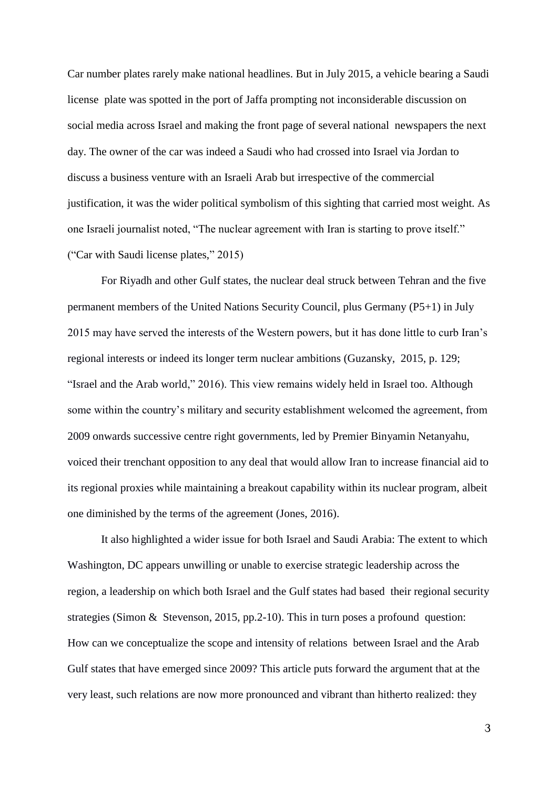Car number plates rarely make national headlines. But in July 2015, a vehicle bearing a Saudi license plate was spotted in the port of Jaffa prompting not inconsiderable discussion on social media across Israel and making the front page of several national newspapers the next day. The owner of the car was indeed a Saudi who had crossed into Israel via Jordan to discuss a business venture with an Israeli Arab but irrespective of the commercial justification, it was the wider political symbolism of this sighting that carried most weight. As one Israeli journalist noted, "The nuclear agreement with Iran is starting to prove itself." ("Car with Saudi license plates," 2015)

For Riyadh and other Gulf states, the nuclear deal struck between Tehran and the five permanent members of the United Nations Security Council, plus Germany (P5+1) in July 2015 may have served the interests of the Western powers, but it has done little to curb Iran's regional interests or indeed its longer term nuclear ambitions (Guzansky, 2015, p. 129; "Israel and the Arab world," 2016). This view remains widely held in Israel too. Although some within the country's military and security establishment welcomed the agreement, from 2009 onwards successive centre right governments, led by Premier Binyamin Netanyahu, voiced their trenchant opposition to any deal that would allow Iran to increase financial aid to its regional proxies while maintaining a breakout capability within its nuclear program, albeit one diminished by the terms of the agreement (Jones, 2016).

It also highlighted a wider issue for both Israel and Saudi Arabia: The extent to which Washington, DC appears unwilling or unable to exercise strategic leadership across the region, a leadership on which both Israel and the Gulf states had based their regional security strategies (Simon & Stevenson, 2015, pp.2-10). This in turn poses a profound question: How can we conceptualize the scope and intensity of relations between Israel and the Arab Gulf states that have emerged since 2009? This article puts forward the argument that at the very least, such relations are now more pronounced and vibrant than hitherto realized: they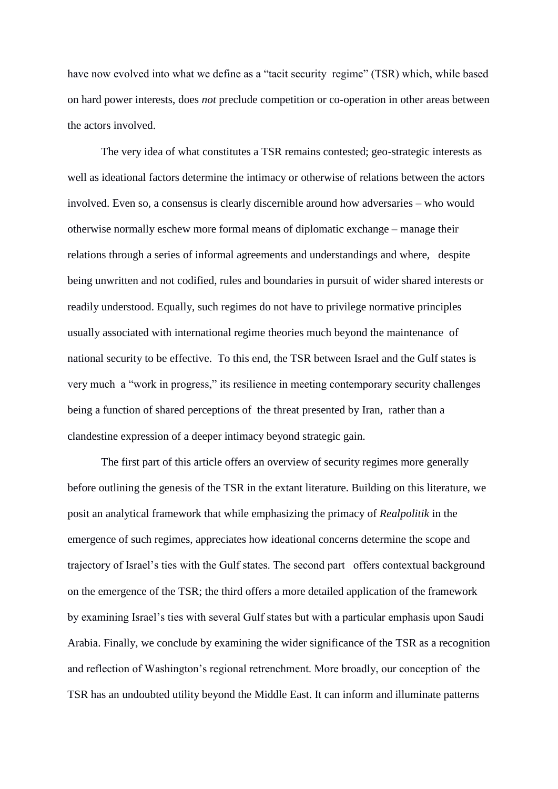have now evolved into what we define as a "tacit security regime" (TSR) which, while based on hard power interests, does *not* preclude competition or co-operation in other areas between the actors involved.

The very idea of what constitutes a TSR remains contested; geo-strategic interests as well as ideational factors determine the intimacy or otherwise of relations between the actors involved. Even so, a consensus is clearly discernible around how adversaries – who would otherwise normally eschew more formal means of diplomatic exchange – manage their relations through a series of informal agreements and understandings and where, despite being unwritten and not codified, rules and boundaries in pursuit of wider shared interests or readily understood. Equally, such regimes do not have to privilege normative principles usually associated with international regime theories much beyond the maintenance of national security to be effective. To this end, the TSR between Israel and the Gulf states is very much a "work in progress," its resilience in meeting contemporary security challenges being a function of shared perceptions of the threat presented by Iran, rather than a clandestine expression of a deeper intimacy beyond strategic gain.

The first part of this article offers an overview of security regimes more generally before outlining the genesis of the TSR in the extant literature. Building on this literature, we posit an analytical framework that while emphasizing the primacy of *Realpolitik* in the emergence of such regimes, appreciates how ideational concerns determine the scope and trajectory of Israel's ties with the Gulf states. The second part offers contextual background on the emergence of the TSR; the third offers a more detailed application of the framework by examining Israel's ties with several Gulf states but with a particular emphasis upon Saudi Arabia. Finally, we conclude by examining the wider significance of the TSR as a recognition and reflection of Washington's regional retrenchment. More broadly, our conception of the TSR has an undoubted utility beyond the Middle East. It can inform and illuminate patterns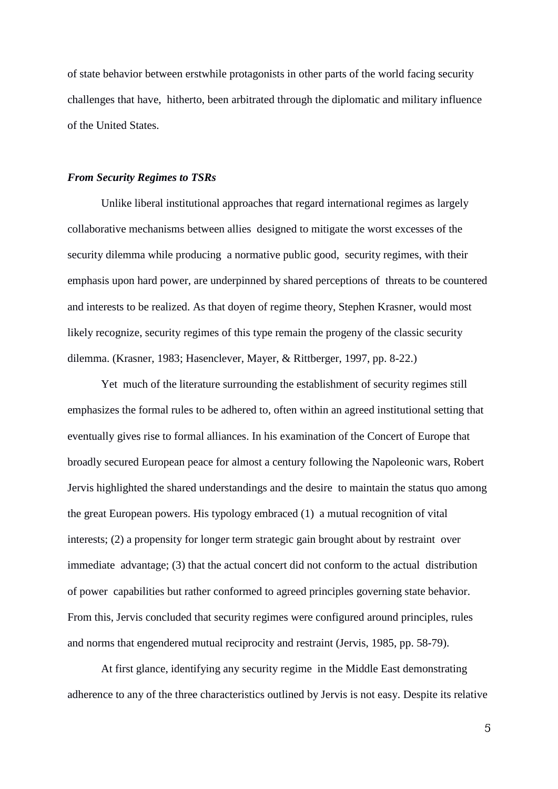of state behavior between erstwhile protagonists in other parts of the world facing security challenges that have, hitherto, been arbitrated through the diplomatic and military influence of the United States.

#### *From Security Regimes to TSRs*

Unlike liberal institutional approaches that regard international regimes as largely collaborative mechanisms between allies designed to mitigate the worst excesses of the security dilemma while producing a normative public good, security regimes, with their emphasis upon hard power, are underpinned by shared perceptions of threats to be countered and interests to be realized. As that doyen of regime theory, Stephen Krasner, would most likely recognize, security regimes of this type remain the progeny of the classic security dilemma. (Krasner, 1983; Hasenclever, Mayer, & Rittberger, 1997, pp. 8-22.)

Yet much of the literature surrounding the establishment of security regimes still emphasizes the formal rules to be adhered to, often within an agreed institutional setting that eventually gives rise to formal alliances. In his examination of the Concert of Europe that broadly secured European peace for almost a century following the Napoleonic wars, Robert Jervis highlighted the shared understandings and the desire to maintain the status quo among the great European powers. His typology embraced (1) a mutual recognition of vital interests; (2) a propensity for longer term strategic gain brought about by restraint over immediate advantage; (3) that the actual concert did not conform to the actual distribution of power capabilities but rather conformed to agreed principles governing state behavior. From this, Jervis concluded that security regimes were configured around principles, rules and norms that engendered mutual reciprocity and restraint (Jervis, 1985, pp. 58-79).

 At first glance, identifying any security regime in the Middle East demonstrating adherence to any of the three characteristics outlined by Jervis is not easy. Despite its relative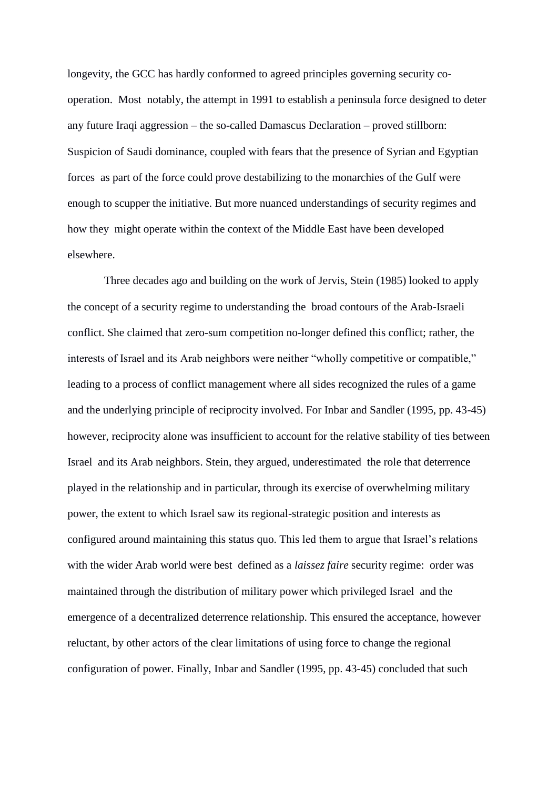longevity, the GCC has hardly conformed to agreed principles governing security cooperation. Most notably, the attempt in 1991 to establish a peninsula force designed to deter any future Iraqi aggression – the so-called Damascus Declaration – proved stillborn: Suspicion of Saudi dominance, coupled with fears that the presence of Syrian and Egyptian forces as part of the force could prove destabilizing to the monarchies of the Gulf were enough to scupper the initiative. But more nuanced understandings of security regimes and how they might operate within the context of the Middle East have been developed elsewhere.

Three decades ago and building on the work of Jervis, Stein (1985) looked to apply the concept of a security regime to understanding the broad contours of the Arab-Israeli conflict. She claimed that zero-sum competition no-longer defined this conflict; rather, the interests of Israel and its Arab neighbors were neither "wholly competitive or compatible," leading to a process of conflict management where all sides recognized the rules of a game and the underlying principle of reciprocity involved. For Inbar and Sandler (1995, pp. 43-45) however, reciprocity alone was insufficient to account for the relative stability of ties between Israel and its Arab neighbors. Stein, they argued, underestimated the role that deterrence played in the relationship and in particular, through its exercise of overwhelming military power, the extent to which Israel saw its regional-strategic position and interests as configured around maintaining this status quo. This led them to argue that Israel's relations with the wider Arab world were best defined as a *laissez faire* security regime: order was maintained through the distribution of military power which privileged Israel and the emergence of a decentralized deterrence relationship. This ensured the acceptance, however reluctant, by other actors of the clear limitations of using force to change the regional configuration of power. Finally, Inbar and Sandler (1995, pp. 43-45) concluded that such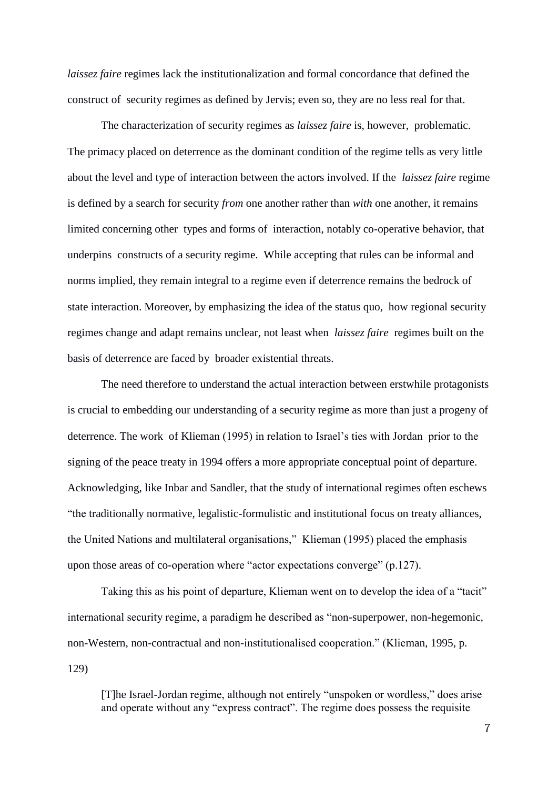*laissez faire* regimes lack the institutionalization and formal concordance that defined the construct of security regimes as defined by Jervis; even so, they are no less real for that.

The characterization of security regimes as *laissez faire* is, however, problematic. The primacy placed on deterrence as the dominant condition of the regime tells as very little about the level and type of interaction between the actors involved. If the *laissez faire* regime is defined by a search for security *from* one another rather than *with* one another, it remains limited concerning other types and forms of interaction, notably co-operative behavior, that underpins constructs of a security regime. While accepting that rules can be informal and norms implied, they remain integral to a regime even if deterrence remains the bedrock of state interaction. Moreover, by emphasizing the idea of the status quo, how regional security regimes change and adapt remains unclear, not least when *laissez faire* regimes built on the basis of deterrence are faced by broader existential threats.

The need therefore to understand the actual interaction between erstwhile protagonists is crucial to embedding our understanding of a security regime as more than just a progeny of deterrence. The work of Klieman (1995) in relation to Israel's ties with Jordan prior to the signing of the peace treaty in 1994 offers a more appropriate conceptual point of departure. Acknowledging, like Inbar and Sandler, that the study of international regimes often eschews "the traditionally normative, legalistic-formulistic and institutional focus on treaty alliances, the United Nations and multilateral organisations," Klieman (1995) placed the emphasis upon those areas of co-operation where "actor expectations converge" (p.127).

Taking this as his point of departure, Klieman went on to develop the idea of a "tacit" international security regime, a paradigm he described as "non-superpower, non-hegemonic, non-Western, non-contractual and non-institutionalised cooperation." (Klieman, 1995, p. 129)

[T]he Israel-Jordan regime, although not entirely "unspoken or wordless," does arise and operate without any "express contract". The regime does possess the requisite

 $\overline{7}$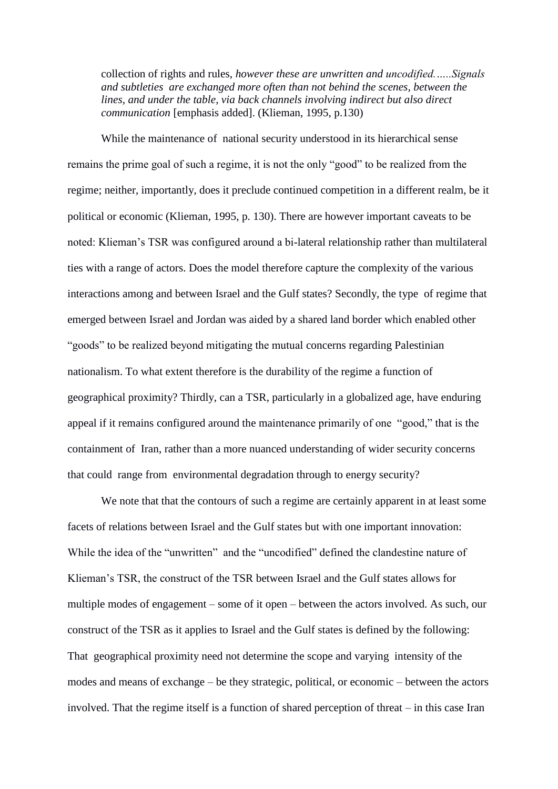collection of rights and rules, *however these are unwritten and uncodified.…..Signals and subtleties are exchanged more often than not behind the scenes, between the lines, and under the table, via back channels involving indirect but also direct communication* [emphasis added]. (Klieman, 1995, p.130)

While the maintenance of national security understood in its hierarchical sense remains the prime goal of such a regime, it is not the only "good" to be realized from the regime; neither, importantly, does it preclude continued competition in a different realm, be it political or economic (Klieman, 1995, p. 130). There are however important caveats to be noted: Klieman's TSR was configured around a bi-lateral relationship rather than multilateral ties with a range of actors. Does the model therefore capture the complexity of the various interactions among and between Israel and the Gulf states? Secondly, the type of regime that emerged between Israel and Jordan was aided by a shared land border which enabled other "goods" to be realized beyond mitigating the mutual concerns regarding Palestinian nationalism. To what extent therefore is the durability of the regime a function of geographical proximity? Thirdly, can a TSR, particularly in a globalized age, have enduring appeal if it remains configured around the maintenance primarily of one "good," that is the containment of Iran, rather than a more nuanced understanding of wider security concerns that could range from environmental degradation through to energy security?

We note that that the contours of such a regime are certainly apparent in at least some facets of relations between Israel and the Gulf states but with one important innovation: While the idea of the "unwritten" and the "uncodified" defined the clandestine nature of Klieman's TSR, the construct of the TSR between Israel and the Gulf states allows for multiple modes of engagement – some of it open – between the actors involved. As such, our construct of the TSR as it applies to Israel and the Gulf states is defined by the following: That geographical proximity need not determine the scope and varying intensity of the modes and means of exchange – be they strategic, political, or economic – between the actors involved. That the regime itself is a function of shared perception of threat – in this case Iran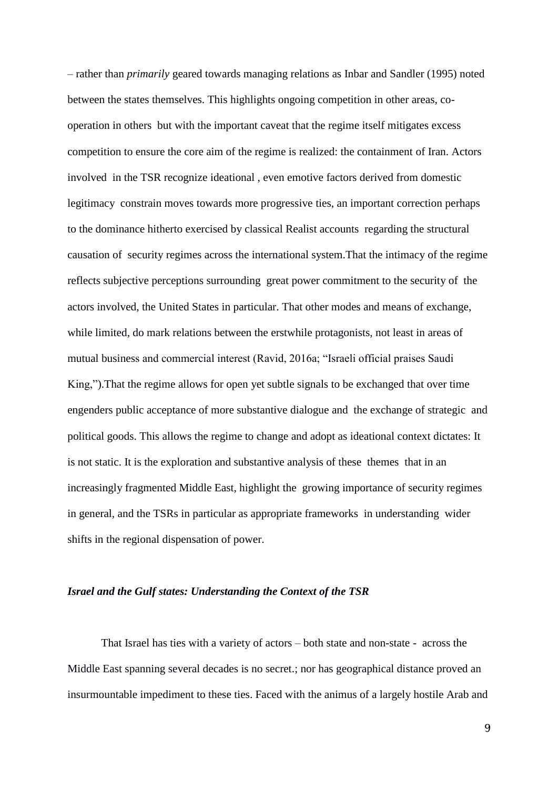– rather than *primarily* geared towards managing relations as Inbar and Sandler (1995) noted between the states themselves. This highlights ongoing competition in other areas, cooperation in others but with the important caveat that the regime itself mitigates excess competition to ensure the core aim of the regime is realized: the containment of Iran. Actors involved in the TSR recognize ideational , even emotive factors derived from domestic legitimacy constrain moves towards more progressive ties, an important correction perhaps to the dominance hitherto exercised by classical Realist accounts regarding the structural causation of security regimes across the international system.That the intimacy of the regime reflects subjective perceptions surrounding great power commitment to the security of the actors involved, the United States in particular. That other modes and means of exchange, while limited, do mark relations between the erstwhile protagonists, not least in areas of mutual business and commercial interest (Ravid, 2016a; "Israeli official praises Saudi King,").That the regime allows for open yet subtle signals to be exchanged that over time engenders public acceptance of more substantive dialogue and the exchange of strategic and political goods. This allows the regime to change and adopt as ideational context dictates: It is not static. It is the exploration and substantive analysis of these themes that in an increasingly fragmented Middle East, highlight the growing importance of security regimes in general, and the TSRs in particular as appropriate frameworks in understanding wider shifts in the regional dispensation of power.

#### *Israel and the Gulf states: Understanding the Context of the TSR*

That Israel has ties with a variety of actors – both state and non-state - across the Middle East spanning several decades is no secret.; nor has geographical distance proved an insurmountable impediment to these ties. Faced with the animus of a largely hostile Arab and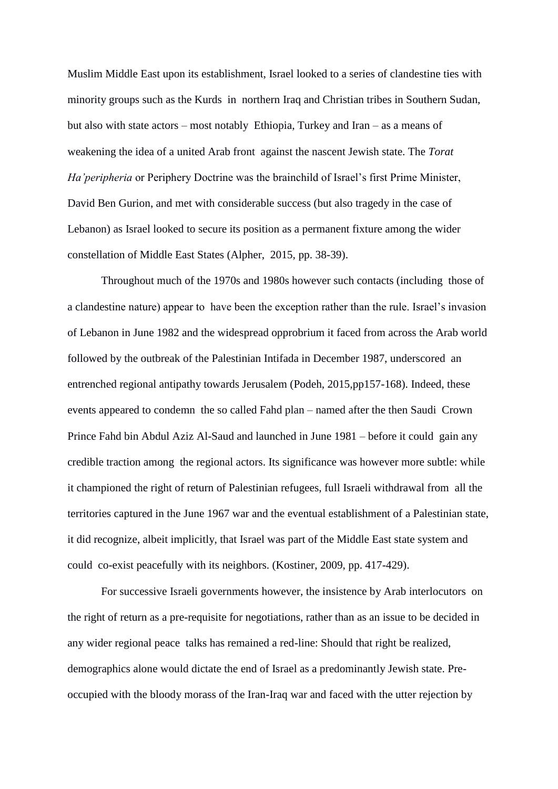Muslim Middle East upon its establishment, Israel looked to a series of clandestine ties with minority groups such as the Kurds in northern Iraq and Christian tribes in Southern Sudan, but also with state actors – most notably Ethiopia, Turkey and Iran – as a means of weakening the idea of a united Arab front against the nascent Jewish state. The *Torat Ha'peripheria* or Periphery Doctrine was the brainchild of Israel's first Prime Minister, David Ben Gurion, and met with considerable success (but also tragedy in the case of Lebanon) as Israel looked to secure its position as a permanent fixture among the wider constellation of Middle East States (Alpher, 2015, pp. 38-39).

 Throughout much of the 1970s and 1980s however such contacts (including those of a clandestine nature) appear to have been the exception rather than the rule. Israel's invasion of Lebanon in June 1982 and the widespread opprobrium it faced from across the Arab world followed by the outbreak of the Palestinian Intifada in December 1987, underscored an entrenched regional antipathy towards Jerusalem (Podeh, 2015,pp157-168). Indeed, these events appeared to condemn the so called Fahd plan – named after the then Saudi Crown Prince Fahd bin Abdul Aziz Al-Saud and launched in June 1981 – before it could gain any credible traction among the regional actors. Its significance was however more subtle: while it championed the right of return of Palestinian refugees, full Israeli withdrawal from all the territories captured in the June 1967 war and the eventual establishment of a Palestinian state, it did recognize, albeit implicitly, that Israel was part of the Middle East state system and could co-exist peacefully with its neighbors. (Kostiner, 2009, pp. 417-429).

For successive Israeli governments however, the insistence by Arab interlocutors on the right of return as a pre-requisite for negotiations, rather than as an issue to be decided in any wider regional peace talks has remained a red-line: Should that right be realized, demographics alone would dictate the end of Israel as a predominantly Jewish state. Preoccupied with the bloody morass of the Iran-Iraq war and faced with the utter rejection by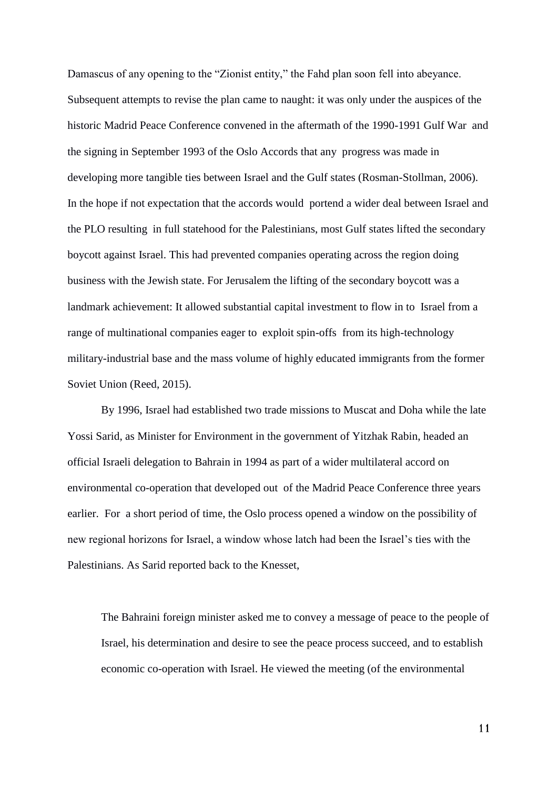Damascus of any opening to the "Zionist entity," the Fahd plan soon fell into abeyance. Subsequent attempts to revise the plan came to naught: it was only under the auspices of the historic Madrid Peace Conference convened in the aftermath of the 1990-1991 Gulf War and the signing in September 1993 of the Oslo Accords that any progress was made in developing more tangible ties between Israel and the Gulf states (Rosman-Stollman, 2006). In the hope if not expectation that the accords would portend a wider deal between Israel and the PLO resulting in full statehood for the Palestinians, most Gulf states lifted the secondary boycott against Israel. This had prevented companies operating across the region doing business with the Jewish state. For Jerusalem the lifting of the secondary boycott was a landmark achievement: It allowed substantial capital investment to flow in to Israel from a range of multinational companies eager to exploit spin-offs from its high-technology military-industrial base and the mass volume of highly educated immigrants from the former Soviet Union (Reed, 2015).

By 1996, Israel had established two trade missions to Muscat and Doha while the late Yossi Sarid, as Minister for Environment in the government of Yitzhak Rabin, headed an official Israeli delegation to Bahrain in 1994 as part of a wider multilateral accord on environmental co-operation that developed out of the Madrid Peace Conference three years earlier. For a short period of time, the Oslo process opened a window on the possibility of new regional horizons for Israel, a window whose latch had been the Israel's ties with the Palestinians. As Sarid reported back to the Knesset,

The Bahraini foreign minister asked me to convey a message of peace to the people of Israel, his determination and desire to see the peace process succeed, and to establish economic co-operation with Israel. He viewed the meeting (of the environmental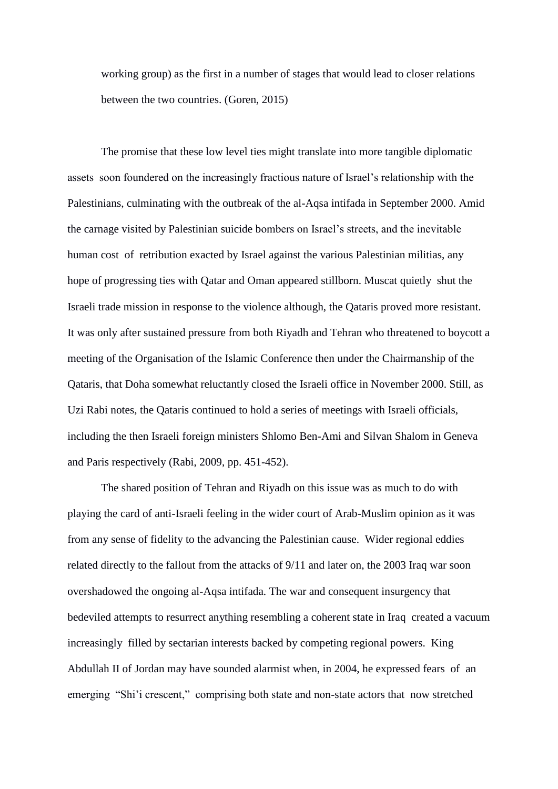working group) as the first in a number of stages that would lead to closer relations between the two countries. (Goren, 2015)

The promise that these low level ties might translate into more tangible diplomatic assets soon foundered on the increasingly fractious nature of Israel's relationship with the Palestinians, culminating with the outbreak of the al-Aqsa intifada in September 2000. Amid the carnage visited by Palestinian suicide bombers on Israel's streets, and the inevitable human cost of retribution exacted by Israel against the various Palestinian militias, any hope of progressing ties with Qatar and Oman appeared stillborn. Muscat quietly shut the Israeli trade mission in response to the violence although, the Qataris proved more resistant. It was only after sustained pressure from both Riyadh and Tehran who threatened to boycott a meeting of the Organisation of the Islamic Conference then under the Chairmanship of the Qataris, that Doha somewhat reluctantly closed the Israeli office in November 2000. Still, as Uzi Rabi notes, the Qataris continued to hold a series of meetings with Israeli officials, including the then Israeli foreign ministers Shlomo Ben-Ami and Silvan Shalom in Geneva and Paris respectively (Rabi, 2009, pp. 451-452).

The shared position of Tehran and Riyadh on this issue was as much to do with playing the card of anti-Israeli feeling in the wider court of Arab-Muslim opinion as it was from any sense of fidelity to the advancing the Palestinian cause. Wider regional eddies related directly to the fallout from the attacks of 9/11 and later on, the 2003 Iraq war soon overshadowed the ongoing al-Aqsa intifada. The war and consequent insurgency that bedeviled attempts to resurrect anything resembling a coherent state in Iraq created a vacuum increasingly filled by sectarian interests backed by competing regional powers. King Abdullah II of Jordan may have sounded alarmist when, in 2004, he expressed fears of an emerging "Shi'i crescent," comprising both state and non-state actors that now stretched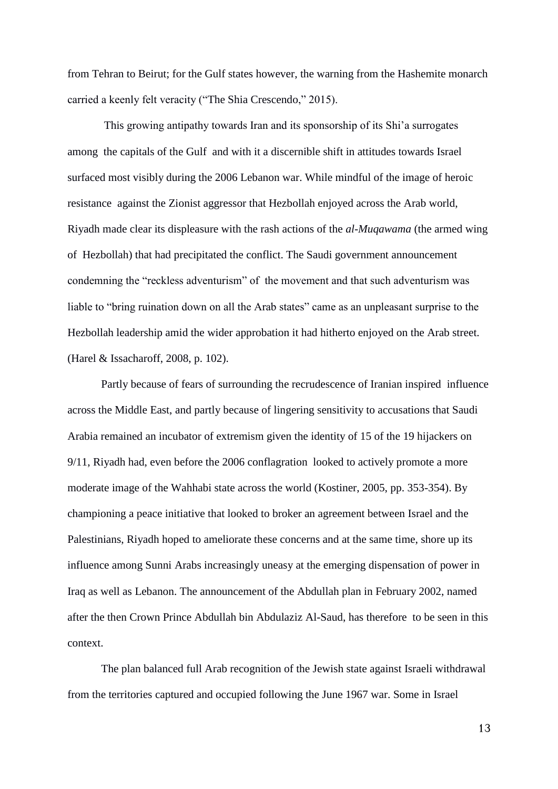from Tehran to Beirut; for the Gulf states however, the warning from the Hashemite monarch carried a keenly felt veracity ("The Shia Crescendo," 2015).

This growing antipathy towards Iran and its sponsorship of its Shi'a surrogates among the capitals of the Gulf and with it a discernible shift in attitudes towards Israel surfaced most visibly during the 2006 Lebanon war. While mindful of the image of heroic resistance against the Zionist aggressor that Hezbollah enjoyed across the Arab world, Riyadh made clear its displeasure with the rash actions of the *al-Muqawama* (the armed wing of Hezbollah) that had precipitated the conflict. The Saudi government announcement condemning the "reckless adventurism" of the movement and that such adventurism was liable to "bring ruination down on all the Arab states" came as an unpleasant surprise to the Hezbollah leadership amid the wider approbation it had hitherto enjoyed on the Arab street. (Harel & Issacharoff, 2008, p. 102).

Partly because of fears of surrounding the recrudescence of Iranian inspired influence across the Middle East, and partly because of lingering sensitivity to accusations that Saudi Arabia remained an incubator of extremism given the identity of 15 of the 19 hijackers on 9/11, Riyadh had, even before the 2006 conflagration looked to actively promote a more moderate image of the Wahhabi state across the world (Kostiner, 2005, pp. 353-354). By championing a peace initiative that looked to broker an agreement between Israel and the Palestinians, Riyadh hoped to ameliorate these concerns and at the same time, shore up its influence among Sunni Arabs increasingly uneasy at the emerging dispensation of power in Iraq as well as Lebanon. The announcement of the Abdullah plan in February 2002, named after the then Crown Prince Abdullah bin Abdulaziz Al-Saud, has therefore to be seen in this context.

The plan balanced full Arab recognition of the Jewish state against Israeli withdrawal from the territories captured and occupied following the June 1967 war. Some in Israel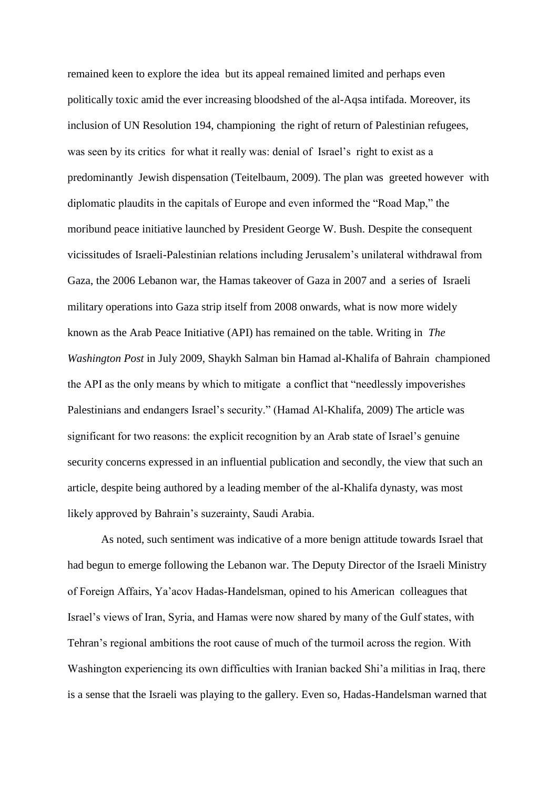remained keen to explore the idea but its appeal remained limited and perhaps even politically toxic amid the ever increasing bloodshed of the al-Aqsa intifada. Moreover, its inclusion of UN Resolution 194, championing the right of return of Palestinian refugees, was seen by its critics for what it really was: denial of Israel's right to exist as a predominantly Jewish dispensation (Teitelbaum, 2009). The plan was greeted however with diplomatic plaudits in the capitals of Europe and even informed the "Road Map," the moribund peace initiative launched by President George W. Bush. Despite the consequent vicissitudes of Israeli-Palestinian relations including Jerusalem's unilateral withdrawal from Gaza, the 2006 Lebanon war, the Hamas takeover of Gaza in 2007 and a series of Israeli military operations into Gaza strip itself from 2008 onwards, what is now more widely known as the Arab Peace Initiative (API) has remained on the table. Writing in *The Washington Post* in July 2009, Shaykh Salman bin Hamad al-Khalifa of Bahrain championed the API as the only means by which to mitigate a conflict that "needlessly impoverishes Palestinians and endangers Israel's security." (Hamad Al-Khalifa, 2009) The article was significant for two reasons: the explicit recognition by an Arab state of Israel's genuine security concerns expressed in an influential publication and secondly, the view that such an article, despite being authored by a leading member of the al-Khalifa dynasty, was most likely approved by Bahrain's suzerainty, Saudi Arabia.

As noted, such sentiment was indicative of a more benign attitude towards Israel that had begun to emerge following the Lebanon war. The Deputy Director of the Israeli Ministry of Foreign Affairs, Ya'acov Hadas-Handelsman, opined to his American colleagues that Israel's views of Iran, Syria, and Hamas were now shared by many of the Gulf states, with Tehran's regional ambitions the root cause of much of the turmoil across the region. With Washington experiencing its own difficulties with Iranian backed Shi'a militias in Iraq, there is a sense that the Israeli was playing to the gallery. Even so, Hadas-Handelsman warned that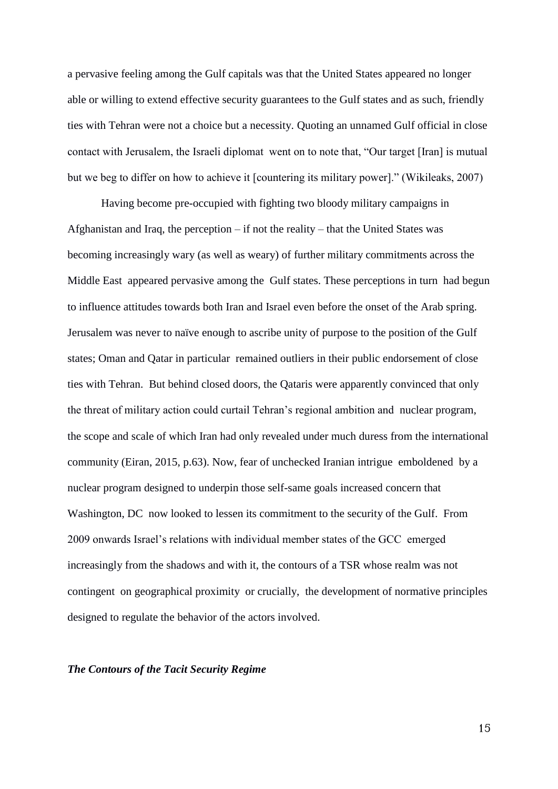a pervasive feeling among the Gulf capitals was that the United States appeared no longer able or willing to extend effective security guarantees to the Gulf states and as such, friendly ties with Tehran were not a choice but a necessity. Quoting an unnamed Gulf official in close contact with Jerusalem, the Israeli diplomat went on to note that, "Our target [Iran] is mutual but we beg to differ on how to achieve it [countering its military power]." (Wikileaks, 2007)

Having become pre-occupied with fighting two bloody military campaigns in Afghanistan and Iraq, the perception – if not the reality – that the United States was becoming increasingly wary (as well as weary) of further military commitments across the Middle East appeared pervasive among the Gulf states. These perceptions in turn had begun to influence attitudes towards both Iran and Israel even before the onset of the Arab spring. Jerusalem was never to naïve enough to ascribe unity of purpose to the position of the Gulf states; Oman and Qatar in particular remained outliers in their public endorsement of close ties with Tehran. But behind closed doors, the Qataris were apparently convinced that only the threat of military action could curtail Tehran's regional ambition and nuclear program, the scope and scale of which Iran had only revealed under much duress from the international community (Eiran, 2015, p.63). Now, fear of unchecked Iranian intrigue emboldened by a nuclear program designed to underpin those self-same goals increased concern that Washington, DC now looked to lessen its commitment to the security of the Gulf. From 2009 onwards Israel's relations with individual member states of the GCC emerged increasingly from the shadows and with it, the contours of a TSR whose realm was not contingent on geographical proximity or crucially, the development of normative principles designed to regulate the behavior of the actors involved.

#### *The Contours of the Tacit Security Regime*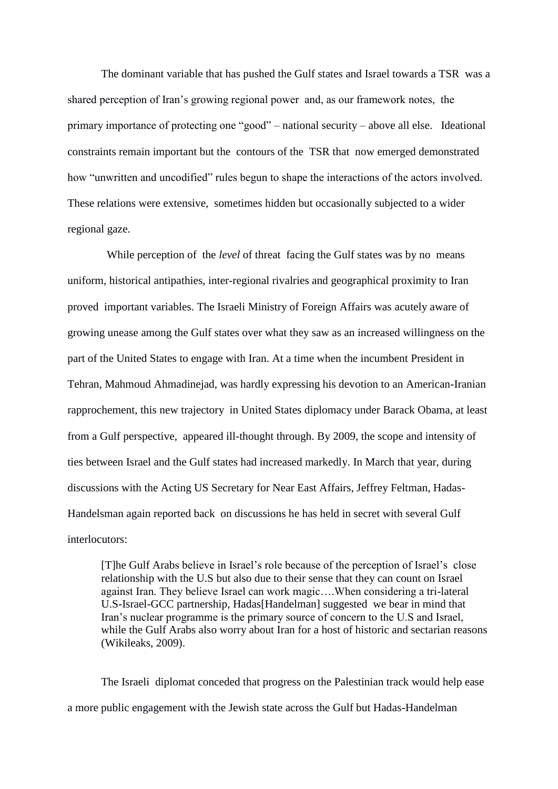The dominant variable that has pushed the Gulf states and Israel towards a TSR was a shared perception of Iran's growing regional power and, as our framework notes, the primary importance of protecting one "good" – national security – above all else. Ideational constraints remain important but the contours of the TSR that now emerged demonstrated how "unwritten and uncodified" rules begun to shape the interactions of the actors involved. These relations were extensive, sometimes hidden but occasionally subjected to a wider regional gaze.

While perception of the *level* of threat facing the Gulf states was by no means uniform, historical antipathies, inter-regional rivalries and geographical proximity to Iran proved important variables. The Israeli Ministry of Foreign Affairs was acutely aware of growing unease among the Gulf states over what they saw as an increased willingness on the part of the United States to engage with Iran. At a time when the incumbent President in Tehran, Mahmoud Ahmadinejad, was hardly expressing his devotion to an American-Iranian rapprochement, this new trajectory in United States diplomacy under Barack Obama, at least from a Gulf perspective, appeared ill-thought through. By 2009, the scope and intensity of ties between Israel and the Gulf states had increased markedly. In March that year, during discussions with the Acting US Secretary for Near East Affairs, Jeffrey Feltman, Hadas-Handelsman again reported back on discussions he has held in secret with several Gulf interlocutors:

[T]he Gulf Arabs believe in Israel's role because of the perception of Israel's close relationship with the U.S but also due to their sense that they can count on Israel against Iran. They believe Israel can work magic….When considering a tri-lateral U.S-Israel-GCC partnership, Hadas[Handelman] suggested we bear in mind that Iran's nuclear programme is the primary source of concern to the U.S and Israel, while the Gulf Arabs also worry about Iran for a host of historic and sectarian reasons (Wikileaks, 2009).

The Israeli diplomat conceded that progress on the Palestinian track would help ease a more public engagement with the Jewish state across the Gulf but Hadas-Handelman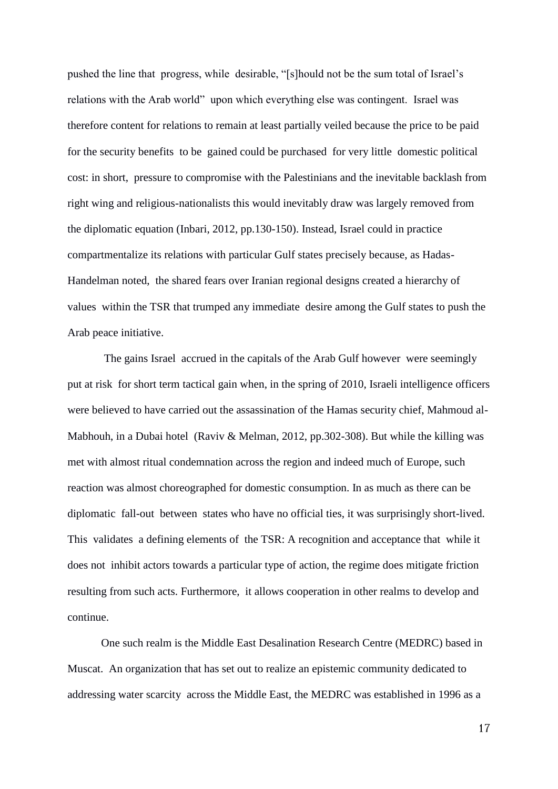pushed the line that progress, while desirable, "[s]hould not be the sum total of Israel's relations with the Arab world" upon which everything else was contingent. Israel was therefore content for relations to remain at least partially veiled because the price to be paid for the security benefits to be gained could be purchased for very little domestic political cost: in short, pressure to compromise with the Palestinians and the inevitable backlash from right wing and religious-nationalists this would inevitably draw was largely removed from the diplomatic equation (Inbari, 2012, pp.130-150). Instead, Israel could in practice compartmentalize its relations with particular Gulf states precisely because, as Hadas-Handelman noted, the shared fears over Iranian regional designs created a hierarchy of values within the TSR that trumped any immediate desire among the Gulf states to push the Arab peace initiative.

The gains Israel accrued in the capitals of the Arab Gulf however were seemingly put at risk for short term tactical gain when, in the spring of 2010, Israeli intelligence officers were believed to have carried out the assassination of the Hamas security chief, Mahmoud al-Mabhouh, in a Dubai hotel (Raviv & Melman, 2012, pp.302-308). But while the killing was met with almost ritual condemnation across the region and indeed much of Europe, such reaction was almost choreographed for domestic consumption. In as much as there can be diplomatic fall-out between states who have no official ties, it was surprisingly short-lived. This validates a defining elements of the TSR: A recognition and acceptance that while it does not inhibit actors towards a particular type of action, the regime does mitigate friction resulting from such acts. Furthermore, it allows cooperation in other realms to develop and continue.

One such realm is the Middle East Desalination Research Centre (MEDRC) based in Muscat. An organization that has set out to realize an epistemic community dedicated to addressing water scarcity across the Middle East, the MEDRC was established in 1996 as a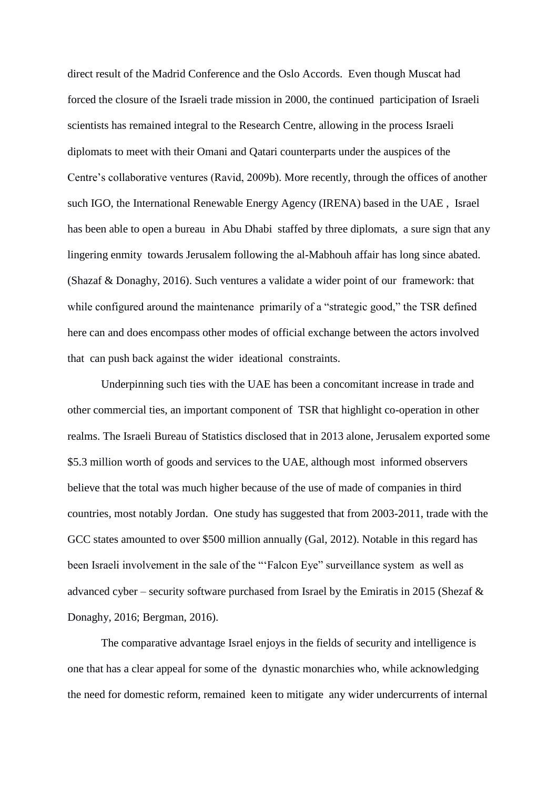direct result of the Madrid Conference and the Oslo Accords. Even though Muscat had forced the closure of the Israeli trade mission in 2000, the continued participation of Israeli scientists has remained integral to the Research Centre, allowing in the process Israeli diplomats to meet with their Omani and Qatari counterparts under the auspices of the Centre's collaborative ventures (Ravid, 2009b). More recently, through the offices of another such IGO, the International Renewable Energy Agency (IRENA) based in the UAE , Israel has been able to open a bureau in Abu Dhabi staffed by three diplomats, a sure sign that any lingering enmity towards Jerusalem following the al-Mabhouh affair has long since abated. (Shazaf & Donaghy, 2016). Such ventures a validate a wider point of our framework: that while configured around the maintenance primarily of a "strategic good," the TSR defined here can and does encompass other modes of official exchange between the actors involved that can push back against the wider ideational constraints.

Underpinning such ties with the UAE has been a concomitant increase in trade and other commercial ties, an important component of TSR that highlight co-operation in other realms. The Israeli Bureau of Statistics disclosed that in 2013 alone, Jerusalem exported some \$5.3 million worth of goods and services to the UAE, although most informed observers believe that the total was much higher because of the use of made of companies in third countries, most notably Jordan. One study has suggested that from 2003-2011, trade with the GCC states amounted to over \$500 million annually (Gal, 2012). Notable in this regard has been Israeli involvement in the sale of the "'Falcon Eye" surveillance system as well as advanced cyber – security software purchased from Israel by the Emiratis in 2015 (Shezaf  $\&$ Donaghy, 2016; Bergman, 2016).

The comparative advantage Israel enjoys in the fields of security and intelligence is one that has a clear appeal for some of the dynastic monarchies who, while acknowledging the need for domestic reform, remained keen to mitigate any wider undercurrents of internal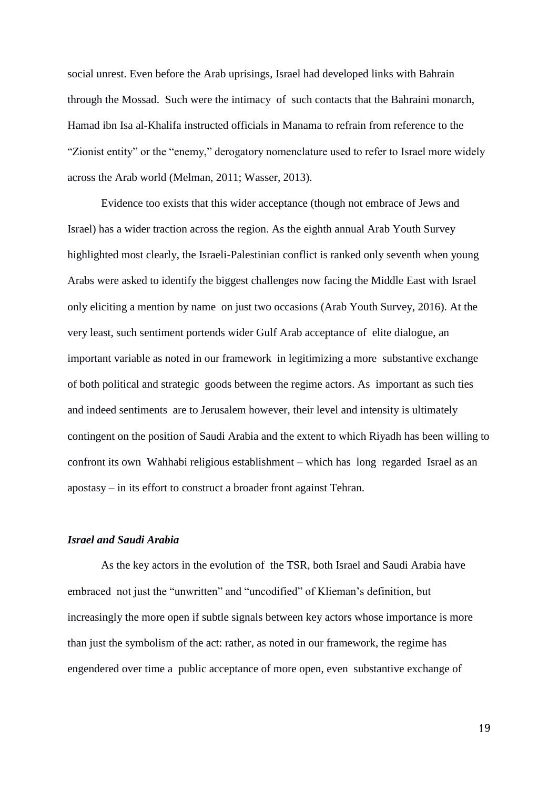social unrest. Even before the Arab uprisings, Israel had developed links with Bahrain through the Mossad. Such were the intimacy of such contacts that the Bahraini monarch, Hamad ibn Isa al-Khalifa instructed officials in Manama to refrain from reference to the "Zionist entity" or the "enemy," derogatory nomenclature used to refer to Israel more widely across the Arab world (Melman, 2011; Wasser, 2013).

Evidence too exists that this wider acceptance (though not embrace of Jews and Israel) has a wider traction across the region. As the eighth annual Arab Youth Survey highlighted most clearly, the Israeli-Palestinian conflict is ranked only seventh when young Arabs were asked to identify the biggest challenges now facing the Middle East with Israel only eliciting a mention by name on just two occasions (Arab Youth Survey, 2016). At the very least, such sentiment portends wider Gulf Arab acceptance of elite dialogue, an important variable as noted in our framework in legitimizing a more substantive exchange of both political and strategic goods between the regime actors. As important as such ties and indeed sentiments are to Jerusalem however, their level and intensity is ultimately contingent on the position of Saudi Arabia and the extent to which Riyadh has been willing to confront its own Wahhabi religious establishment – which has long regarded Israel as an apostasy – in its effort to construct a broader front against Tehran.

#### *Israel and Saudi Arabia*

As the key actors in the evolution of the TSR, both Israel and Saudi Arabia have embraced not just the "unwritten" and "uncodified" of Klieman's definition, but increasingly the more open if subtle signals between key actors whose importance is more than just the symbolism of the act: rather, as noted in our framework, the regime has engendered over time a public acceptance of more open, even substantive exchange of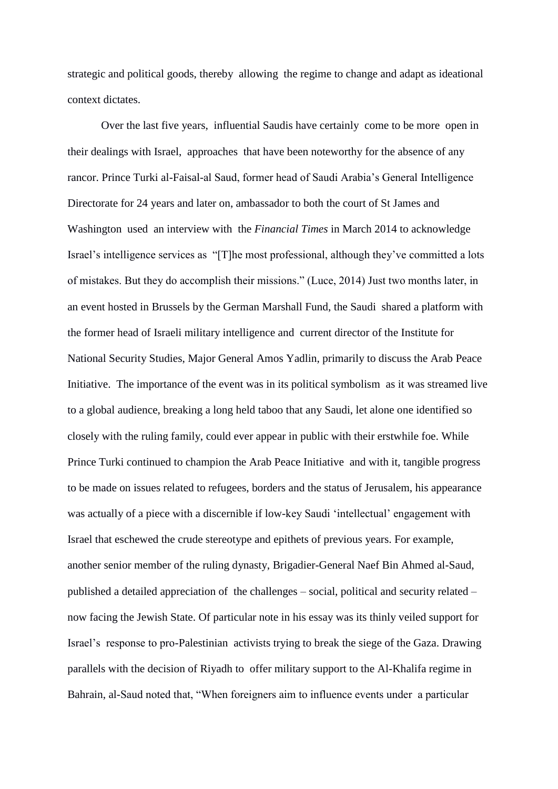strategic and political goods, thereby allowing the regime to change and adapt as ideational context dictates.

Over the last five years, influential Saudis have certainly come to be more open in their dealings with Israel, approaches that have been noteworthy for the absence of any rancor. Prince Turki al-Faisal-al Saud, former head of Saudi Arabia's General Intelligence Directorate for 24 years and later on, ambassador to both the court of St James and Washington used an interview with the *Financial Times* in March 2014 to acknowledge Israel's intelligence services as "[T]he most professional, although they've committed a lots of mistakes. But they do accomplish their missions." (Luce, 2014) Just two months later, in an event hosted in Brussels by the German Marshall Fund, the Saudi shared a platform with the former head of Israeli military intelligence and current director of the Institute for National Security Studies, Major General Amos Yadlin, primarily to discuss the Arab Peace Initiative. The importance of the event was in its political symbolism as it was streamed live to a global audience, breaking a long held taboo that any Saudi, let alone one identified so closely with the ruling family, could ever appear in public with their erstwhile foe. While Prince Turki continued to champion the Arab Peace Initiative and with it, tangible progress to be made on issues related to refugees, borders and the status of Jerusalem, his appearance was actually of a piece with a discernible if low-key Saudi 'intellectual' engagement with Israel that eschewed the crude stereotype and epithets of previous years. For example, another senior member of the ruling dynasty, Brigadier-General Naef Bin Ahmed al-Saud, published a detailed appreciation of the challenges – social, political and security related – now facing the Jewish State. Of particular note in his essay was its thinly veiled support for Israel's response to pro-Palestinian activists trying to break the siege of the Gaza. Drawing parallels with the decision of Riyadh to offer military support to the Al-Khalifa regime in Bahrain, al-Saud noted that, "When foreigners aim to influence events under a particular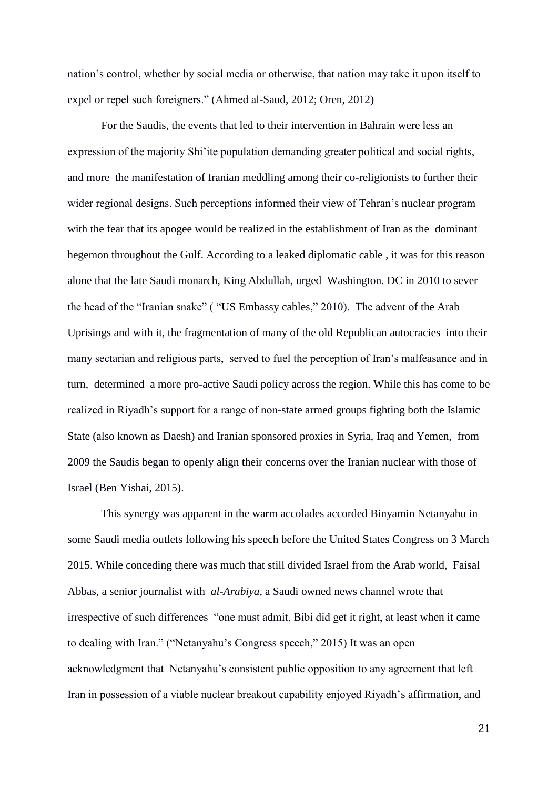nation's control, whether by social media or otherwise, that nation may take it upon itself to expel or repel such foreigners." (Ahmed al-Saud, 2012; Oren, 2012)

For the Saudis, the events that led to their intervention in Bahrain were less an expression of the majority Shi'ite population demanding greater political and social rights, and more the manifestation of Iranian meddling among their co-religionists to further their wider regional designs. Such perceptions informed their view of Tehran's nuclear program with the fear that its apogee would be realized in the establishment of Iran as the dominant hegemon throughout the Gulf. According to a leaked diplomatic cable , it was for this reason alone that the late Saudi monarch, King Abdullah, urged Washington. DC in 2010 to sever the head of the "Iranian snake" ( "US Embassy cables," 2010). The advent of the Arab Uprisings and with it, the fragmentation of many of the old Republican autocracies into their many sectarian and religious parts, served to fuel the perception of Iran's malfeasance and in turn, determined a more pro-active Saudi policy across the region. While this has come to be realized in Riyadh's support for a range of non-state armed groups fighting both the Islamic State (also known as Daesh) and Iranian sponsored proxies in Syria, Iraq and Yemen, from 2009 the Saudis began to openly align their concerns over the Iranian nuclear with those of Israel (Ben Yishai, 2015).

This synergy was apparent in the warm accolades accorded Binyamin Netanyahu in some Saudi media outlets following his speech before the United States Congress on 3 March 2015. While conceding there was much that still divided Israel from the Arab world, Faisal Abbas, a senior journalist with *al-Arabiya,* a Saudi owned news channel wrote that irrespective of such differences "one must admit, Bibi did get it right, at least when it came to dealing with Iran." ("Netanyahu's Congress speech," 2015) It was an open acknowledgment that Netanyahu's consistent public opposition to any agreement that left Iran in possession of a viable nuclear breakout capability enjoyed Riyadh's affirmation, and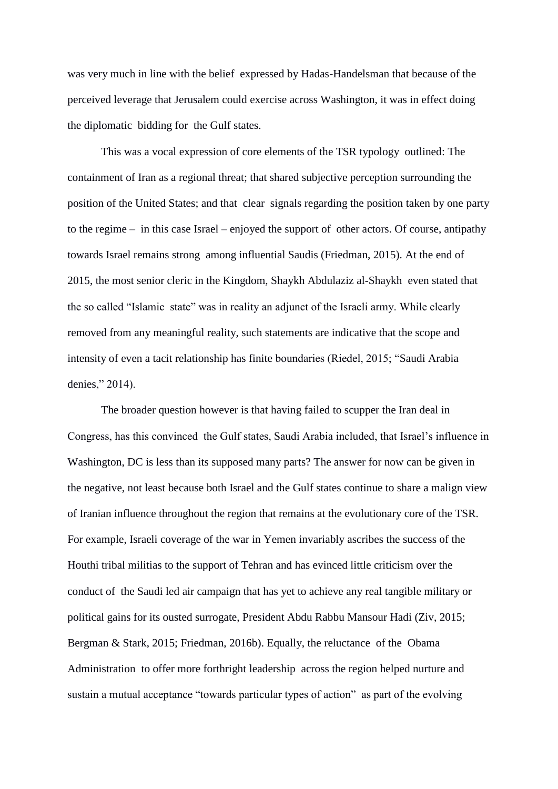was very much in line with the belief expressed by Hadas-Handelsman that because of the perceived leverage that Jerusalem could exercise across Washington, it was in effect doing the diplomatic bidding for the Gulf states.

This was a vocal expression of core elements of the TSR typology outlined: The containment of Iran as a regional threat; that shared subjective perception surrounding the position of the United States; and that clear signals regarding the position taken by one party to the regime – in this case Israel – enjoyed the support of other actors. Of course, antipathy towards Israel remains strong among influential Saudis (Friedman, 2015). At the end of 2015, the most senior cleric in the Kingdom, Shaykh Abdulaziz al-Shaykh even stated that the so called "Islamic state" was in reality an adjunct of the Israeli army. While clearly removed from any meaningful reality, such statements are indicative that the scope and intensity of even a tacit relationship has finite boundaries (Riedel, 2015; "Saudi Arabia denies," 2014).

The broader question however is that having failed to scupper the Iran deal in Congress, has this convinced the Gulf states, Saudi Arabia included, that Israel's influence in Washington, DC is less than its supposed many parts? The answer for now can be given in the negative, not least because both Israel and the Gulf states continue to share a malign view of Iranian influence throughout the region that remains at the evolutionary core of the TSR. For example, Israeli coverage of the war in Yemen invariably ascribes the success of the Houthi tribal militias to the support of Tehran and has evinced little criticism over the conduct of the Saudi led air campaign that has yet to achieve any real tangible military or political gains for its ousted surrogate, President Abdu Rabbu Mansour Hadi (Ziv, 2015; Bergman & Stark, 2015; Friedman, 2016b). Equally, the reluctance of the Obama Administration to offer more forthright leadership across the region helped nurture and sustain a mutual acceptance "towards particular types of action" as part of the evolving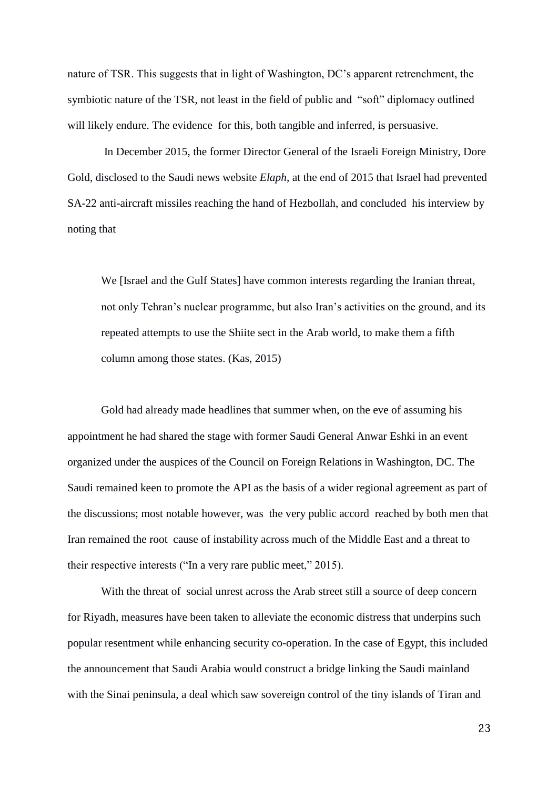nature of TSR. This suggests that in light of Washington, DC's apparent retrenchment, the symbiotic nature of the TSR, not least in the field of public and "soft" diplomacy outlined will likely endure. The evidence for this, both tangible and inferred, is persuasive.

In December 2015, the former Director General of the Israeli Foreign Ministry, Dore Gold, disclosed to the Saudi news website *Elaph*, at the end of 2015 that Israel had prevented SA-22 anti-aircraft missiles reaching the hand of Hezbollah, and concluded his interview by noting that

We [Israel and the Gulf States] have common interests regarding the Iranian threat, not only Tehran's nuclear programme, but also Iran's activities on the ground, and its repeated attempts to use the Shiite sect in the Arab world, to make them a fifth column among those states. (Kas, 2015)

Gold had already made headlines that summer when, on the eve of assuming his appointment he had shared the stage with former Saudi General Anwar Eshki in an event organized under the auspices of the Council on Foreign Relations in Washington, DC. The Saudi remained keen to promote the API as the basis of a wider regional agreement as part of the discussions; most notable however, was the very public accord reached by both men that Iran remained the root cause of instability across much of the Middle East and a threat to their respective interests ("In a very rare public meet," 2015).

With the threat of social unrest across the Arab street still a source of deep concern for Riyadh, measures have been taken to alleviate the economic distress that underpins such popular resentment while enhancing security co-operation. In the case of Egypt, this included the announcement that Saudi Arabia would construct a bridge linking the Saudi mainland with the Sinai peninsula, a deal which saw sovereign control of the tiny islands of Tiran and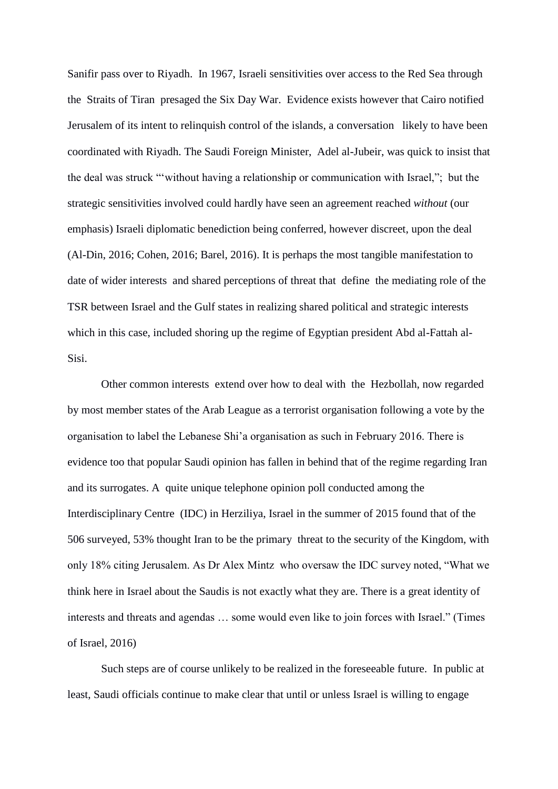Sanifir pass over to Riyadh. In 1967, Israeli sensitivities over access to the Red Sea through the Straits of Tiran presaged the Six Day War. Evidence exists however that Cairo notified Jerusalem of its intent to relinquish control of the islands, a conversation likely to have been coordinated with Riyadh. The Saudi Foreign Minister, Adel al-Jubeir, was quick to insist that the deal was struck "'without having a relationship or communication with Israel,"; but the strategic sensitivities involved could hardly have seen an agreement reached *without* (our emphasis) Israeli diplomatic benediction being conferred, however discreet, upon the deal (Al-Din, 2016; Cohen, 2016; Barel, 2016). It is perhaps the most tangible manifestation to date of wider interests and shared perceptions of threat that define the mediating role of the TSR between Israel and the Gulf states in realizing shared political and strategic interests which in this case, included shoring up the regime of Egyptian president Abd al-Fattah al-Sisi.

Other common interests extend over how to deal with the Hezbollah, now regarded by most member states of the Arab League as a terrorist organisation following a vote by the organisation to label the Lebanese Shi'a organisation as such in February 2016. There is evidence too that popular Saudi opinion has fallen in behind that of the regime regarding Iran and its surrogates. A quite unique telephone opinion poll conducted among the Interdisciplinary Centre (IDC) in Herziliya, Israel in the summer of 2015 found that of the 506 surveyed, 53% thought Iran to be the primary threat to the security of the Kingdom, with only 18% citing Jerusalem. As Dr Alex Mintz who oversaw the IDC survey noted, "What we think here in Israel about the Saudis is not exactly what they are. There is a great identity of interests and threats and agendas … some would even like to join forces with Israel." (Times of Israel, 2016)

Such steps are of course unlikely to be realized in the foreseeable future. In public at least, Saudi officials continue to make clear that until or unless Israel is willing to engage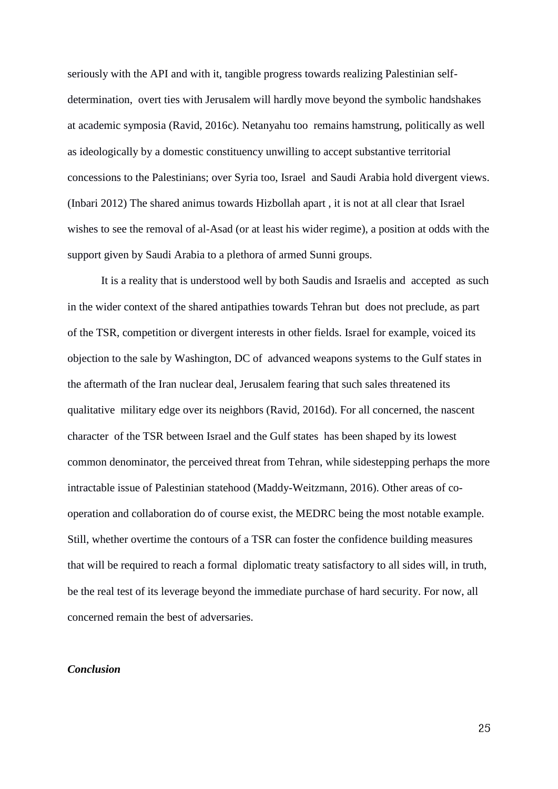seriously with the API and with it, tangible progress towards realizing Palestinian selfdetermination, overt ties with Jerusalem will hardly move beyond the symbolic handshakes at academic symposia (Ravid, 2016c). Netanyahu too remains hamstrung, politically as well as ideologically by a domestic constituency unwilling to accept substantive territorial concessions to the Palestinians; over Syria too, Israel and Saudi Arabia hold divergent views. (Inbari 2012) The shared animus towards Hizbollah apart , it is not at all clear that Israel wishes to see the removal of al-Asad (or at least his wider regime), a position at odds with the support given by Saudi Arabia to a plethora of armed Sunni groups.

It is a reality that is understood well by both Saudis and Israelis and accepted as such in the wider context of the shared antipathies towards Tehran but does not preclude, as part of the TSR, competition or divergent interests in other fields. Israel for example, voiced its objection to the sale by Washington, DC of advanced weapons systems to the Gulf states in the aftermath of the Iran nuclear deal, Jerusalem fearing that such sales threatened its qualitative military edge over its neighbors (Ravid, 2016d). For all concerned, the nascent character of the TSR between Israel and the Gulf states has been shaped by its lowest common denominator, the perceived threat from Tehran, while sidestepping perhaps the more intractable issue of Palestinian statehood (Maddy-Weitzmann, 2016). Other areas of cooperation and collaboration do of course exist, the MEDRC being the most notable example. Still, whether overtime the contours of a TSR can foster the confidence building measures that will be required to reach a formal diplomatic treaty satisfactory to all sides will, in truth, be the real test of its leverage beyond the immediate purchase of hard security. For now, all concerned remain the best of adversaries.

## *Conclusion*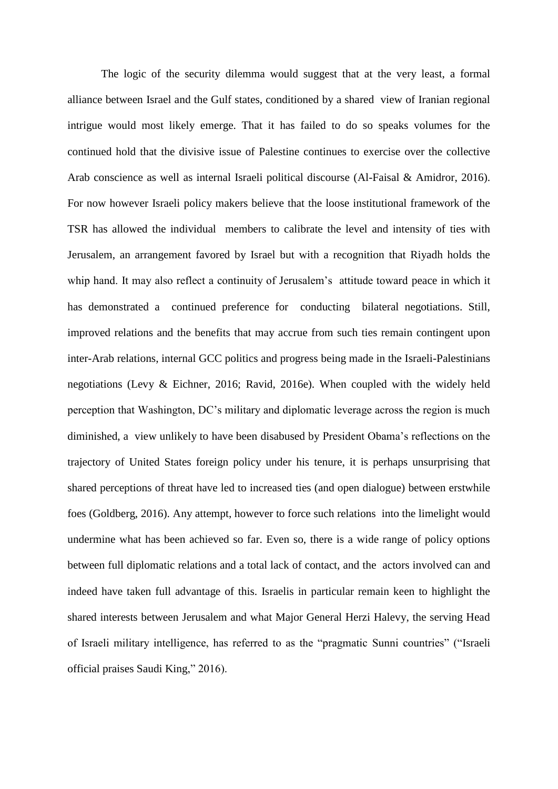The logic of the security dilemma would suggest that at the very least, a formal alliance between Israel and the Gulf states, conditioned by a shared view of Iranian regional intrigue would most likely emerge. That it has failed to do so speaks volumes for the continued hold that the divisive issue of Palestine continues to exercise over the collective Arab conscience as well as internal Israeli political discourse (Al-Faisal & Amidror, 2016). For now however Israeli policy makers believe that the loose institutional framework of the TSR has allowed the individual members to calibrate the level and intensity of ties with Jerusalem, an arrangement favored by Israel but with a recognition that Riyadh holds the whip hand. It may also reflect a continuity of Jerusalem's attitude toward peace in which it has demonstrated a continued preference for conducting bilateral negotiations. Still, improved relations and the benefits that may accrue from such ties remain contingent upon inter-Arab relations, internal GCC politics and progress being made in the Israeli-Palestinians negotiations (Levy & Eichner, 2016; Ravid, 2016e). When coupled with the widely held perception that Washington, DC's military and diplomatic leverage across the region is much diminished, a view unlikely to have been disabused by President Obama's reflections on the trajectory of United States foreign policy under his tenure, it is perhaps unsurprising that shared perceptions of threat have led to increased ties (and open dialogue) between erstwhile foes (Goldberg, 2016). Any attempt, however to force such relations into the limelight would undermine what has been achieved so far. Even so, there is a wide range of policy options between full diplomatic relations and a total lack of contact, and the actors involved can and indeed have taken full advantage of this. Israelis in particular remain keen to highlight the shared interests between Jerusalem and what Major General Herzi Halevy, the serving Head of Israeli military intelligence, has referred to as the "pragmatic Sunni countries" ("Israeli official praises Saudi King," 2016).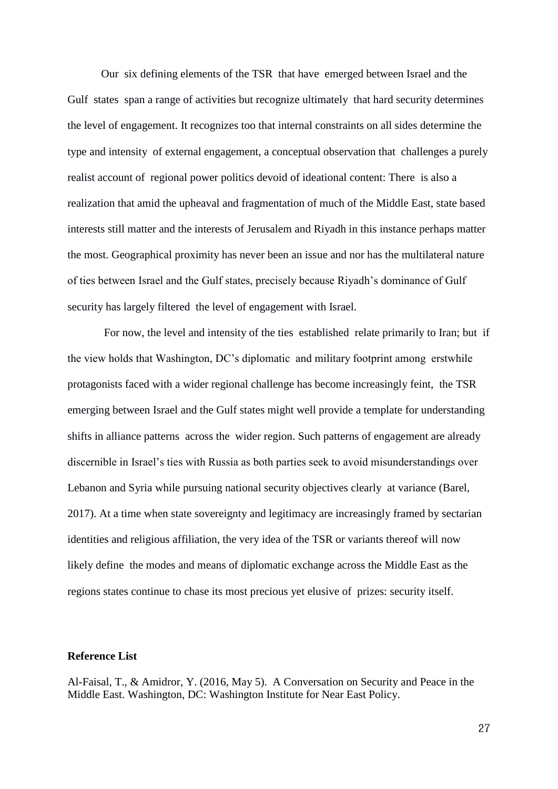Our six defining elements of the TSR that have emerged between Israel and the Gulf states span a range of activities but recognize ultimately that hard security determines the level of engagement. It recognizes too that internal constraints on all sides determine the type and intensity of external engagement, a conceptual observation that challenges a purely realist account of regional power politics devoid of ideational content: There is also a realization that amid the upheaval and fragmentation of much of the Middle East, state based interests still matter and the interests of Jerusalem and Riyadh in this instance perhaps matter the most. Geographical proximity has never been an issue and nor has the multilateral nature of ties between Israel and the Gulf states, precisely because Riyadh's dominance of Gulf security has largely filtered the level of engagement with Israel.

For now, the level and intensity of the ties established relate primarily to Iran; but if the view holds that Washington, DC's diplomatic and military footprint among erstwhile protagonists faced with a wider regional challenge has become increasingly feint, the TSR emerging between Israel and the Gulf states might well provide a template for understanding shifts in alliance patterns across the wider region. Such patterns of engagement are already discernible in Israel's ties with Russia as both parties seek to avoid misunderstandings over Lebanon and Syria while pursuing national security objectives clearly at variance (Barel, 2017). At a time when state sovereignty and legitimacy are increasingly framed by sectarian identities and religious affiliation, the very idea of the TSR or variants thereof will now likely define the modes and means of diplomatic exchange across the Middle East as the regions states continue to chase its most precious yet elusive of prizes: security itself.

#### **Reference List**

Al-Faisal, T., & Amidror, Y. (2016, May 5). A Conversation on Security and Peace in the Middle East. Washington, DC: Washington Institute for Near East Policy.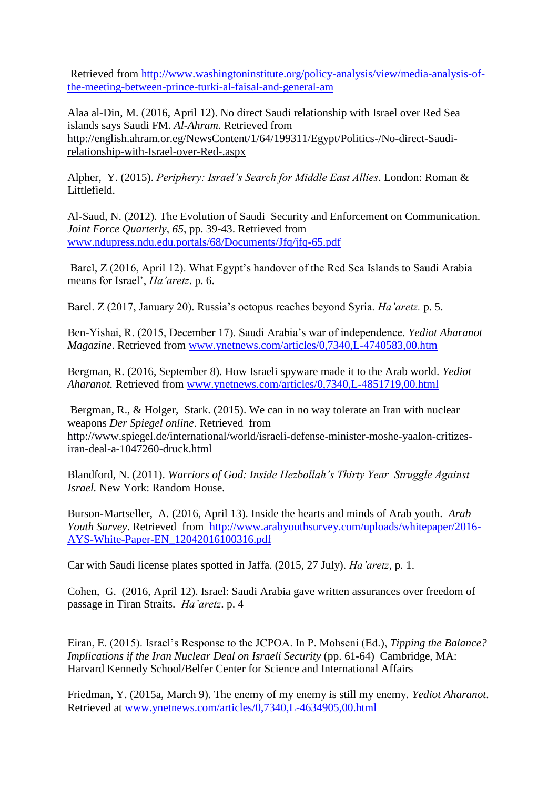Retrieved from [http://www.washingtoninstitute.org/policy-analysis/view/media-analysis-of](http://www.washingtoninstitute.org/policy-analysis/view/media-analysis-of-the-meeting-between-prince-turki-al-faisal-and-general-am)[the-meeting-between-prince-turki-al-faisal-and-general-am](http://www.washingtoninstitute.org/policy-analysis/view/media-analysis-of-the-meeting-between-prince-turki-al-faisal-and-general-am)

Alaa al-Din, M. (2016, April 12). No direct Saudi relationship with Israel over Red Sea islands says Saudi FM. *Al-Ahram*. Retrieved from [http://english.ahram.or.eg/NewsContent/1/64/199311/Egypt/Politics-/No-direct-Saudi](http://english.ahram.or.eg/NewsContent/1/64/199311/Egypt/Politics-/No-direct-Saudi-relationship-with-Israel-over-Red-.aspx)[relationship-with-Israel-over-Red-.aspx](http://english.ahram.or.eg/NewsContent/1/64/199311/Egypt/Politics-/No-direct-Saudi-relationship-with-Israel-over-Red-.aspx)

Alpher, Y. (2015). *Periphery: Israel's Search for Middle East Allies*. London: Roman & Littlefield.

Al-Saud, N. (2012). The Evolution of Saudi Security and Enforcement on Communication. *Joint Force Quarterly*, *65*, pp. 39-43. Retrieved from [www.ndupress.ndu.edu.portals/68/Documents/Jfq/jfq-65.pdf](http://www.ndupress.ndu.edu.portals/68/Documents/Jfq/jfq-65.pdf)

Barel, Z (2016, April 12). What Egypt's handover of the Red Sea Islands to Saudi Arabia means for Israel', *Ha'aretz*. p. 6.

Barel. Z (2017, January 20). Russia's octopus reaches beyond Syria. *Ha'aretz.* p. 5.

Ben-Yishai, R. (2015, December 17). Saudi Arabia's war of independence. *Yediot Aharanot Magazine*. Retrieved from [www.ynetnews.com/articles/0,7340,L-4740583,00.htm](http://www.ynetnews.com/articles/0,7340,L-4740583,00.htm)

Bergman, R. (2016, September 8). How Israeli spyware made it to the Arab world. *Yediot Aharanot.* Retrieved from [www.ynetnews.com/articles/0,7340,L-4851719,00.html](http://www.ynetnews.com/articles/0,7340,L-4851719,00.html)

Bergman, R., & Holger, Stark. (2015). We can in no way tolerate an Iran with nuclear weapons *Der Spiegel online*. Retrieved from [http://www.spiegel.de/international/world/israeli-defense-minister-moshe-yaalon-critizes](http://www.spiegel.de/international/world/israeli-defense-minister-moshe-yaalon-critizes-iran-deal-a-1047260-druck.html)[iran-deal-a-1047260-druck.html](http://www.spiegel.de/international/world/israeli-defense-minister-moshe-yaalon-critizes-iran-deal-a-1047260-druck.html)

Blandford, N. (2011). *Warriors of God: Inside Hezbollah's Thirty Year Struggle Against Israel.* New York: Random House.

Burson-Martseller, A. (2016, April 13). Inside the hearts and minds of Arab youth*. Arab Youth Survey*. Retrieved from [http://www.arabyouthsurvey.com/uploads/whitepaper/2016-](http://www.arabyouthsurvey.com/uploads/whitepaper/2016-AYS-White-Paper-EN_12042016100316.pdf) [AYS-White-Paper-EN\\_12042016100316.pdf](http://www.arabyouthsurvey.com/uploads/whitepaper/2016-AYS-White-Paper-EN_12042016100316.pdf)

Car with Saudi license plates spotted in Jaffa. (2015, 27 July). *Ha'aretz*, p. 1.

Cohen, G. (2016, April 12). Israel: Saudi Arabia gave written assurances over freedom of passage in Tiran Straits. *Ha'aretz*. p. 4

Eiran, E. (2015). Israel's Response to the JCPOA. In P. Mohseni (Ed.), *Tipping the Balance? Implications if the Iran Nuclear Deal on Israeli Security* (pp. 61-64) Cambridge, MA: Harvard Kennedy School/Belfer Center for Science and International Affairs

Friedman, Y. (2015a, March 9). The enemy of my enemy is still my enemy. *Yediot Aharanot*. Retrieved at [www.ynetnews.com/articles/0,7340,L-4634905,00.html](http://www.ynetnews.com/articles/0,7340,L-4634905,00.html)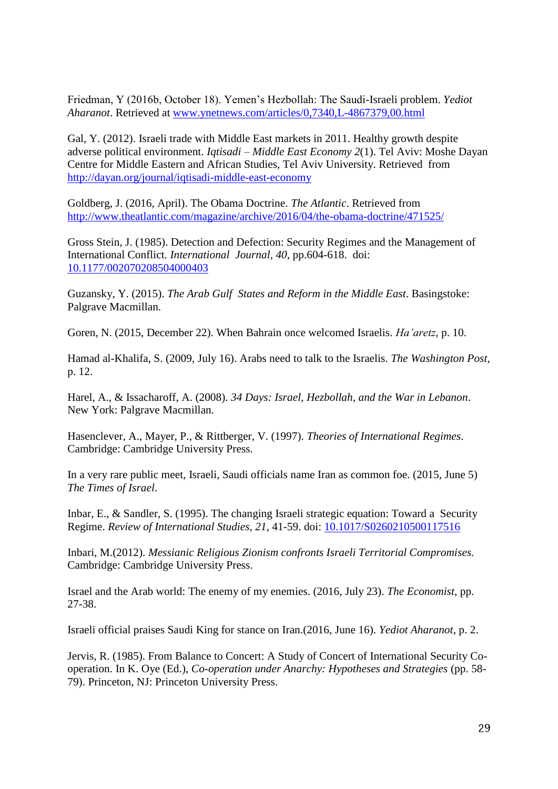Friedman, Y (2016b, October 18). Yemen's Hezbollah: The Saudi-Israeli problem. *Yediot Aharanot*. Retrieved at [www.ynetnews.com/articles/0,7340,L-4867379,00.html](http://www.ynetnews.com/articles/0,7340,L-4867379,00.html)

Gal, Y. (2012). Israeli trade with Middle East markets in 2011. Healthy growth despite adverse political environment. *Iqtisadi – Middle East Economy 2*(1). Tel Aviv: Moshe Dayan Centre for Middle Eastern and African Studies, Tel Aviv University. Retrieved from <http://dayan.org/journal/iqtisadi-middle-east-economy>

Goldberg, J. (2016, April). The Obama Doctrine. *The Atlantic*. Retrieved from <http://www.theatlantic.com/magazine/archive/2016/04/the-obama-doctrine/471525/>

Gross Stein, J. (1985). Detection and Defection: Security Regimes and the Management of International Conflict. *International Journal*, *40*, pp.604-618. doi: [10.1177/002070208504000403](https://doi.org/10.1177/002070208504000403)

Guzansky, Y. (2015). *The Arab Gulf States and Reform in the Middle East*. Basingstoke: Palgrave Macmillan.

Goren, N. (2015, December 22). When Bahrain once welcomed Israelis. *Ha'aretz*, p. 10.

Hamad al-Khalifa, S. (2009, July 16). Arabs need to talk to the Israelis. *The Washington Post*, p. 12.

Harel, A., & Issacharoff, A. (2008). *34 Days: Israel, Hezbollah, and the War in Lebanon*. New York: Palgrave Macmillan.

Hasenclever, A., Mayer, P., & Rittberger, V. (1997). *Theories of International Regimes*. Cambridge: Cambridge University Press.

In a very rare public meet, Israeli, Saudi officials name Iran as common foe. (2015, June 5) *The Times of Israel*.

Inbar, E., & Sandler, S. (1995). The changing Israeli strategic equation: Toward a Security Regime. *Review of International Studies*, *21*, 41-59. doi: [10.1017/S0260210500117516](https://doi.org/10.1017/S0260210500117516)

Inbari, M.(2012). *Messianic Religious Zionism confronts Israeli Territorial Compromises.*  Cambridge: Cambridge University Press.

Israel and the Arab world: The enemy of my enemies. (2016, July 23). *The Economist*, pp. 27-38.

Israeli official praises Saudi King for stance on Iran.(2016, June 16). *Yediot Aharanot*, p. 2.

Jervis, R. (1985). From Balance to Concert: A Study of Concert of International Security Cooperation. In K. Oye (Ed.), *Co-operation under Anarchy: Hypotheses and Strategies* (pp. 58- 79). Princeton, NJ: Princeton University Press.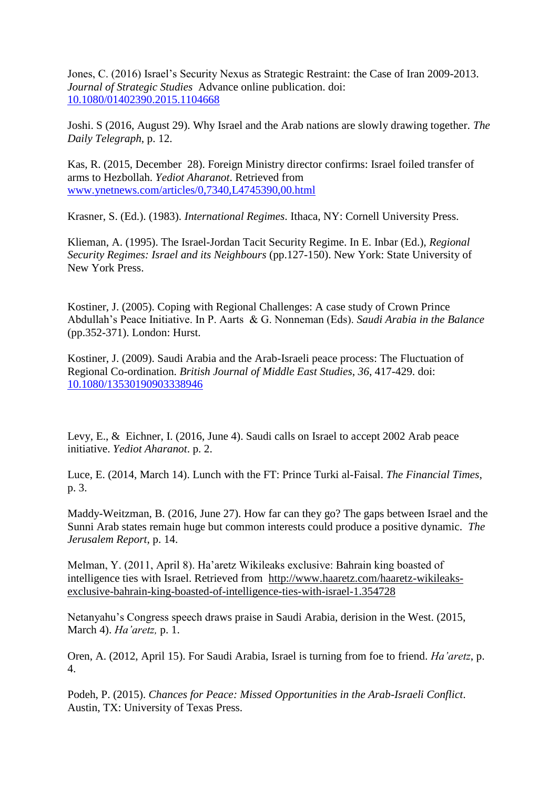Jones, C. (2016) Israel's Security Nexus as Strategic Restraint: the Case of Iran 2009-2013. *Journal of Strategic Studies* Advance online publication. doi: [10.1080/01402390.2015.1104668](http://dx.doi.org/10.1080/01402390.2015.1104668)

Joshi. S (2016, August 29). Why Israel and the Arab nations are slowly drawing together. *The Daily Telegraph*, p. 12.

Kas, R. (2015, December 28). Foreign Ministry director confirms: Israel foiled transfer of arms to Hezbollah. *Yediot Aharanot*. Retrieved from [www.ynetnews.com/articles/0,7340,L4745390,00.html](http://www.ynetnews.com/articles/0,7340,L4745390,00.html)

Krasner, S. (Ed.). (1983). *International Regimes*. Ithaca, NY: Cornell University Press.

Klieman, A. (1995). The Israel-Jordan Tacit Security Regime. In E. Inbar (Ed.), *Regional Security Regimes: Israel and its Neighbours* (pp.127-150). New York: State University of New York Press.

Kostiner, J. (2005). Coping with Regional Challenges: A case study of Crown Prince Abdullah's Peace Initiative. In P. Aarts & G. Nonneman (Eds). *Saudi Arabia in the Balance*  (pp.352-371). London: Hurst.

Kostiner, J. (2009). Saudi Arabia and the Arab-Israeli peace process: The Fluctuation of Regional Co-ordination. *British Journal of Middle East Studies*, *36*, 417-429. doi: [10.1080/13530190903338946](http://dx.doi.org/10.1080/13530190903338946)

Levy, E., & Eichner, I. (2016, June 4). Saudi calls on Israel to accept 2002 Arab peace initiative. *Yediot Aharanot*. p. 2.

Luce, E. (2014, March 14). Lunch with the FT: Prince Turki al-Faisal. *The Financial Times*, p. 3.

Maddy-Weitzman, B. (2016, June 27). How far can they go? The gaps between Israel and the Sunni Arab states remain huge but common interests could produce a positive dynamic. *The Jerusalem Report*, p. 14.

Melman, Y. (2011, April 8). Ha'aretz Wikileaks exclusive: Bahrain king boasted of intelligence ties with Israel. Retrieved from [http://www.haaretz.com/haaretz-wikileaks](http://www.haaretz.com/haaretz-wikileaks-exclusive-bahrain-king-boasted-of-intelligence-ties-with-israel-1.354728)[exclusive-bahrain-king-boasted-of-intelligence-ties-with-israel-1.354728](http://www.haaretz.com/haaretz-wikileaks-exclusive-bahrain-king-boasted-of-intelligence-ties-with-israel-1.354728)

Netanyahu's Congress speech draws praise in Saudi Arabia, derision in the West. (2015, March 4). *Ha'aretz,* p. 1.

Oren, A. (2012, April 15). For Saudi Arabia, Israel is turning from foe to friend. *Ha'aretz*, p. 4.

Podeh, P. (2015). *Chances for Peace: Missed Opportunities in the Arab-Israeli Conflict*. Austin, TX: University of Texas Press.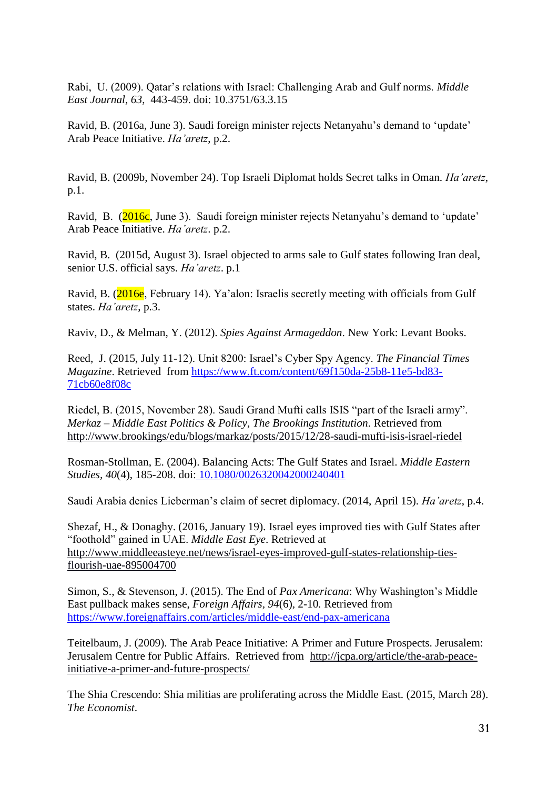Rabi, U. (2009). Qatar's relations with Israel: Challenging Arab and Gulf norms. *Middle East Journal*, *63*, 443-459. doi: 10.3751/63.3.15

Ravid, B. (2016a, June 3). Saudi foreign minister rejects Netanyahu's demand to 'update' Arab Peace Initiative. *Ha'aretz*, p.2.

Ravid, B. (2009b, November 24). Top Israeli Diplomat holds Secret talks in Oman. *Ha'aretz*, p.1.

Ravid, B. (2016c, June 3). Saudi foreign minister rejects Netanyahu's demand to 'update' Arab Peace Initiative. *Ha'aretz*. p.2.

Ravid, B. (2015d, August 3). Israel objected to arms sale to Gulf states following Iran deal, senior U.S. official says. *Ha'aretz*. p.1

Ravid, B. (2016e, February 14). Ya'alon: Israelis secretly meeting with officials from Gulf states. *Ha'aretz*, p.3.

Raviv, D., & Melman, Y. (2012). *Spies Against Armageddon*. New York: Levant Books.

Reed, J. (2015, July 11-12). Unit 8200: Israel's Cyber Spy Agency. *The Financial Times Magazine*. Retrieved from [https://www.ft.com/content/69f150da-25b8-11e5-bd83-](https://www.ft.com/content/69f150da-25b8-11e5-bd83-71cb60e8f08c) [71cb60e8f08c](https://www.ft.com/content/69f150da-25b8-11e5-bd83-71cb60e8f08c)

Riedel, B. (2015, November 28). Saudi Grand Mufti calls ISIS "part of the Israeli army". *Merkaz – Middle East Politics & Policy, The Brookings Institution*. Retrieved from <http://www.brookings/edu/blogs/markaz/posts/2015/12/28-saudi-mufti-isis-israel-riedel>

Rosman-Stollman, E. (2004). Balancing Acts: The Gulf States and Israel. *Middle Eastern Studies, 40*(4), 185-208. doi: [10.1080/0026320042000240401](http://dx.doi.org/10.1080/0026320042000240401)

Saudi Arabia denies Lieberman's claim of secret diplomacy. (2014, April 15). *Ha'aretz*, p.4.

Shezaf, H., & Donaghy. (2016, January 19). Israel eyes improved ties with Gulf States after "foothold" gained in UAE. *Middle East Eye*. Retrieved at [http://www.middleeasteye.net/news/israel-eyes-improved-gulf-states-relationship-ties](http://www.middleeasteye.net/news/israel-eyes-improved-gulf-states-relationship-ties-flourish-uae-895004700)[flourish-uae-895004700](http://www.middleeasteye.net/news/israel-eyes-improved-gulf-states-relationship-ties-flourish-uae-895004700)

Simon, S., & Stevenson, J. (2015). The End of *Pax Americana*: Why Washington's Middle East pullback makes sense, *Foreign Affairs, 94*(6)*,* 2-10*.* Retrieved from <https://www.foreignaffairs.com/articles/middle-east/end-pax-americana>

Teitelbaum, J. (2009). The Arab Peace Initiative: A Primer and Future Prospects. Jerusalem: Jerusalem Centre for Public Affairs. Retrieved from [http://jcpa.org/article/the-arab-peace](http://jcpa.org/article/the-arab-peace-initiative-a-primer-and-future-prospects/)[initiative-a-primer-and-future-prospects/](http://jcpa.org/article/the-arab-peace-initiative-a-primer-and-future-prospects/)

The Shia Crescendo: Shia militias are proliferating across the Middle East. (2015, March 28). *The Economist*.